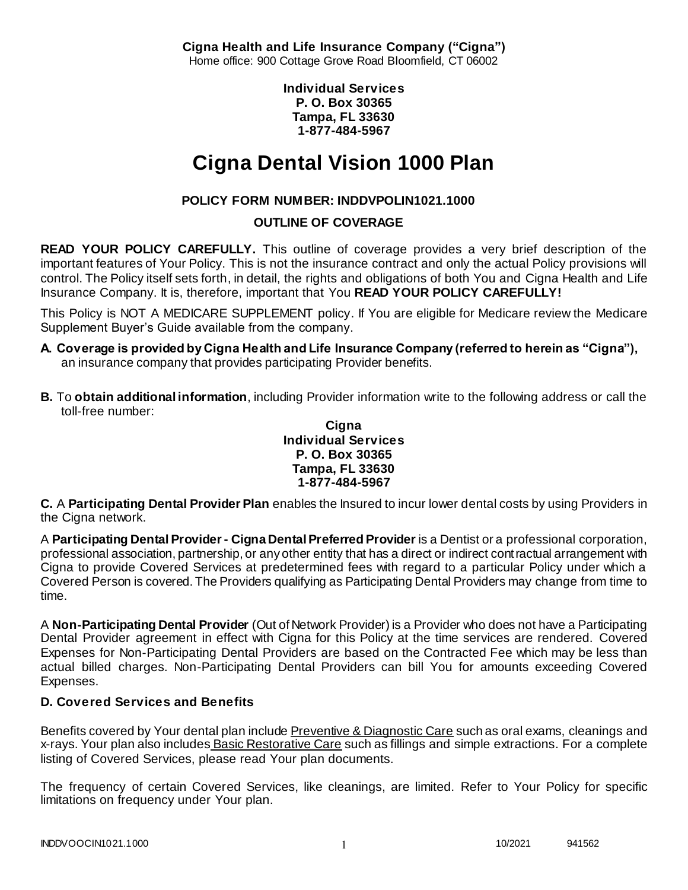**Cigna Health and Life Insurance Company ("Cigna")** Home office: 900 Cottage Grove Road Bloomfield, CT 06002

> **Individual Services P. O. Box 30365 Tampa, FL 33630 1-877-484-5967**

# **Cigna Dental Vision 1000 Plan**

# **POLICY FORM NUMBER: INDDVPOLIN1021.1000**

# **OUTLINE OF COVERAGE**

**READ YOUR POLICY CAREFULLY.** This outline of coverage provides a very brief description of the important features of Your Policy. This is not the insurance contract and only the actual Policy provisions will control. The Policy itself sets forth, in detail, the rights and obligations of both You and Cigna Health and Life Insurance Company. It is, therefore, important that You **READ YOUR POLICY CAREFULLY!** 

This Policy is NOT A MEDICARE SUPPLEMENT policy. If You are eligible for Medicare review the Medicare Supplement Buyer's Guide available from the company.

- **A. Coverage is provided by Cigna Health and Life Insurance Company (referred to herein as "Cigna"),**  an insurance company that provides participating Provider benefits.
- **B.** To **obtain additional information**, including Provider information write to the following address or call the toll-free number:

#### **Cigna Individual Services P. O. Box 30365 Tampa, FL 33630 1-877-484-5967**

**C.** A **Participating Dental Provider Plan** enables the Insured to incur lower dental costs by using Providers in the Cigna network.

A **Participating Dental Provider - Cigna Dental Preferred Provider** is a Dentist or a professional corporation, professional association, partnership, or any other entity that has a direct or indirect contractual arrangement with Cigna to provide Covered Services at predetermined fees with regard to a particular Policy under which a Covered Person is covered. The Providers qualifying as Participating Dental Providers may change from time to time.

A **Non-Participating Dental Provider** (Out of Network Provider) is a Provider who does not have a Participating Dental Provider agreement in effect with Cigna for this Policy at the time services are rendered. Covered Expenses for Non-Participating Dental Providers are based on the Contracted Fee which may be less than actual billed charges. Non-Participating Dental Providers can bill You for amounts exceeding Covered Expenses.

# **D. Covered Services and Benefits**

Benefits covered by Your dental plan include Preventive & Diagnostic Care such as oral exams, cleanings and x-rays. Your plan also includes Basic Restorative Care such as fillings and simple extractions. For a complete listing of Covered Services, please read Your plan documents.

The frequency of certain Covered Services, like cleanings, are limited. Refer to Your Policy for specific limitations on frequency under Your plan.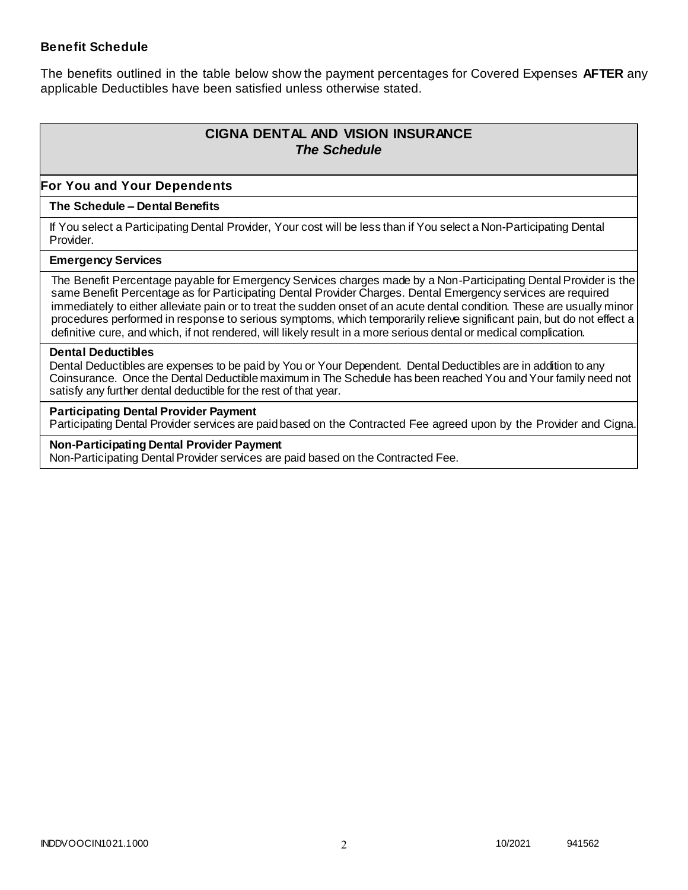### **Benefit Schedule**

The benefits outlined in the table below show the payment percentages for Covered Expenses **AFTER** any applicable Deductibles have been satisfied unless otherwise stated.

# **CIGNA DENTAL AND VISION INSURANCE** *The Schedule*

### **For You and Your Dependents**

#### **The Schedule – Dental Benefits**

If You select a Participating Dental Provider, Your cost will be less than if You select a Non-Participating Dental Provider.

#### **Emergency Services**

The Benefit Percentage payable for Emergency Services charges made by a Non-Participating Dental Provider is the same Benefit Percentage as for Participating Dental Provider Charges. Dental Emergency services are required immediately to either alleviate pain or to treat the sudden onset of an acute dental condition. These are usually minor procedures performed in response to serious symptoms, which temporarily relieve significant pain, but do not effect a definitive cure, and which, if not rendered, will likely result in a more serious dental or medical complication.

#### **Dental Deductibles**

Dental Deductibles are expenses to be paid by You or Your Dependent. Dental Deductibles are in addition to any Coinsurance. Once the Dental Deductible maximum in The Schedule has been reached You and Your family need not satisfy any further dental deductible for the rest of that year.

#### **Participating Dental Provider Payment**

Participating Dental Provider services are paid based on the Contracted Fee agreed upon by the Provider and Cigna.

**Non-Participating Dental Provider Payment** Non-Participating Dental Provider services are paid based on the Contracted Fee.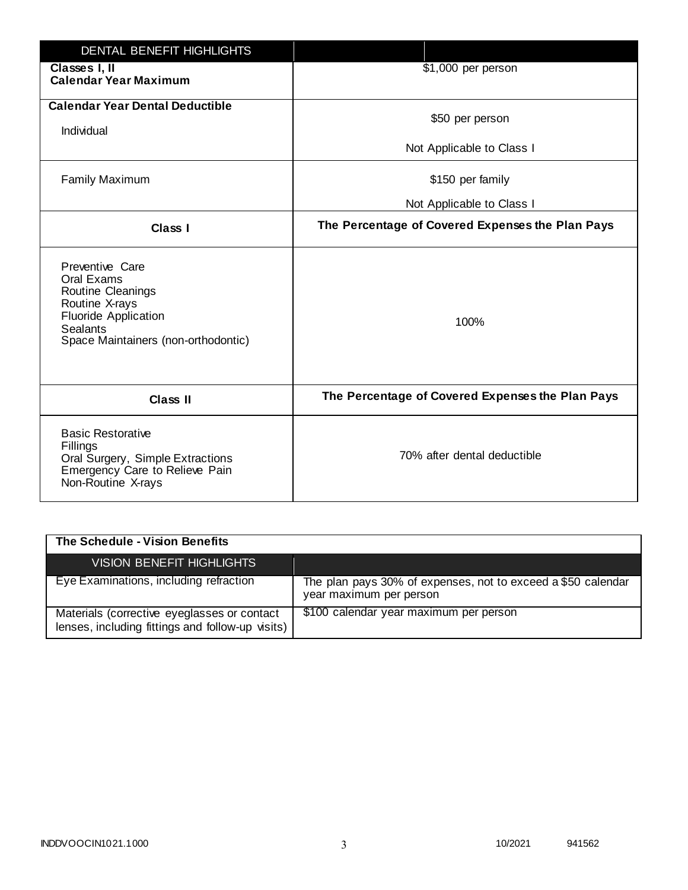| <b>DENTAL BENEFIT HIGHLIGHTS</b>                                                                                                                              |                                                  |
|---------------------------------------------------------------------------------------------------------------------------------------------------------------|--------------------------------------------------|
| Classes I, II<br><b>Calendar Year Maximum</b>                                                                                                                 | \$1,000 per person                               |
| <b>Calendar Year Dental Deductible</b><br>Individual                                                                                                          | \$50 per person                                  |
|                                                                                                                                                               | Not Applicable to Class I                        |
| <b>Family Maximum</b>                                                                                                                                         | \$150 per family                                 |
|                                                                                                                                                               | Not Applicable to Class I                        |
| <b>Class I</b>                                                                                                                                                | The Percentage of Covered Expenses the Plan Pays |
| Preventive Care<br>Oral Exams<br>Routine Cleanings<br>Routine X-rays<br><b>Fluoride Application</b><br><b>Sealants</b><br>Space Maintainers (non-orthodontic) | 100%                                             |
| <b>Class II</b>                                                                                                                                               | The Percentage of Covered Expenses the Plan Pays |
| <b>Basic Restorative</b><br>Fillings<br>Oral Surgery, Simple Extractions<br>Emergency Care to Relieve Pain<br>Non-Routine X-rays                              | 70% after dental deductible                      |

| The Schedule - Vision Benefits                                                                  |                                                                                         |
|-------------------------------------------------------------------------------------------------|-----------------------------------------------------------------------------------------|
| <b>VISION BENEFIT HIGHLIGHTS,</b>                                                               |                                                                                         |
| Eye Examinations, including refraction                                                          | The plan pays 30% of expenses, not to exceed a \$50 calendar<br>year maximum per person |
| Materials (corrective eyeglasses or contact<br>lenses, including fittings and follow-up visits) | \$100 calendar year maximum per person                                                  |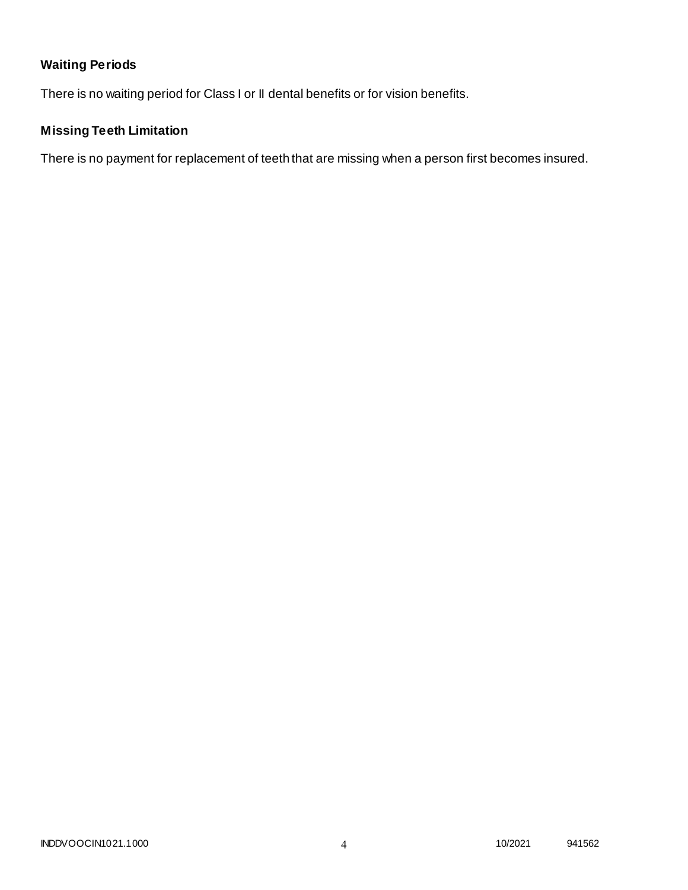# **Waiting Periods**

There is no waiting period for Class I or II dental benefits or for vision benefits.

# **Missing Teeth Limitation**

There is no payment for replacement of teeth that are missing when a person first becomes insured.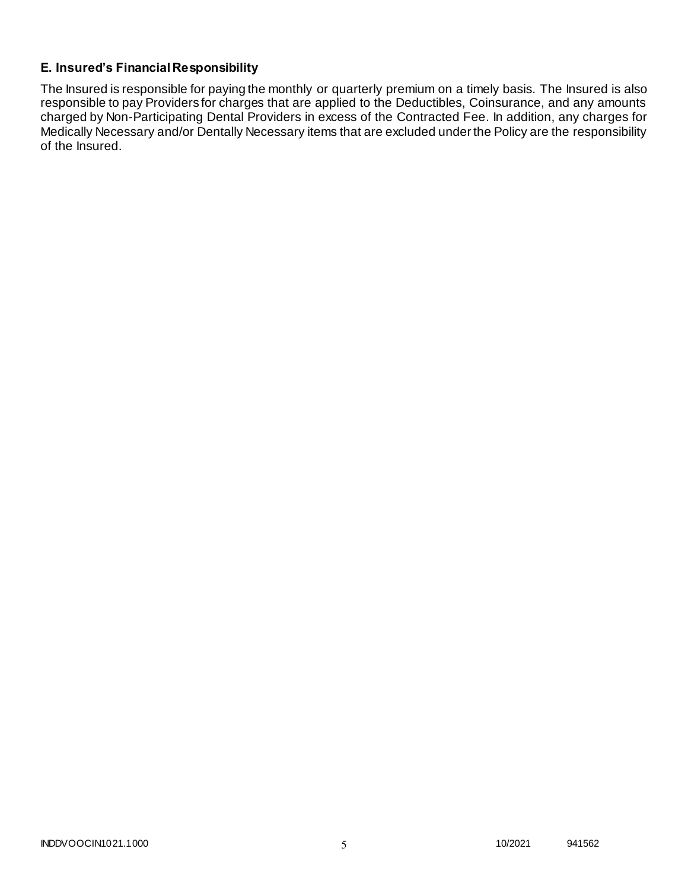# **E. Insured's Financial Responsibility**

The Insured is responsible for paying the monthly or quarterly premium on a timely basis. The Insured is also responsible to pay Providers for charges that are applied to the Deductibles, Coinsurance, and any amounts charged by Non-Participating Dental Providers in excess of the Contracted Fee. In addition, any charges for Medically Necessary and/or Dentally Necessary items that are excluded under the Policy are the responsibility of the Insured.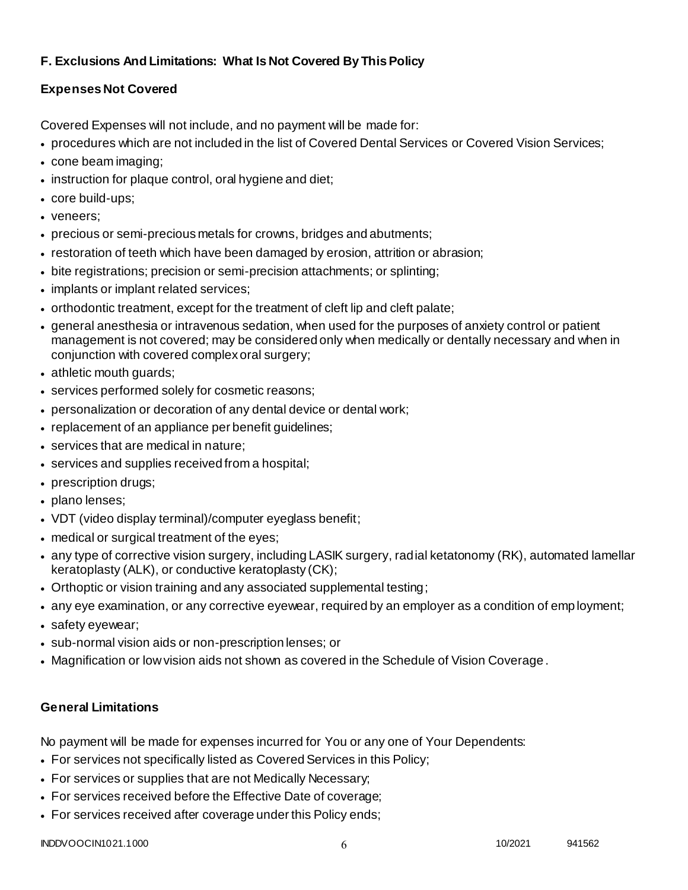# **F. Exclusions And Limitations: What Is Not Covered By This Policy**

# **Expenses Not Covered**

Covered Expenses will not include, and no payment will be made for:

- procedures which are not included in the list of Covered Dental Services or Covered Vision Services;
- cone beam imaging;
- instruction for plaque control, oral hygiene and diet;
- core build-ups;
- veneers;
- precious or semi-precious metals for crowns, bridges and abutments;
- restoration of teeth which have been damaged by erosion, attrition or abrasion;
- bite registrations; precision or semi-precision attachments; or splinting;
- implants or implant related services;
- orthodontic treatment, except for the treatment of cleft lip and cleft palate;
- general anesthesia or intravenous sedation, when used for the purposes of anxiety control or patient management is not covered; may be considered only when medically or dentally necessary and when in conjunction with covered complex oral surgery;
- athletic mouth guards;
- services performed solely for cosmetic reasons;
- personalization or decoration of any dental device or dental work;
- replacement of an appliance per benefit quidelines;
- services that are medical in nature;
- services and supplies received from a hospital;
- prescription drugs;
- plano lenses;
- VDT (video display terminal)/computer eyeglass benefit;
- medical or surgical treatment of the eyes;
- any type of corrective vision surgery, including LASIK surgery, radial ketatonomy (RK), automated lamellar keratoplasty (ALK), or conductive keratoplasty (CK);
- Orthoptic or vision training and any associated supplemental testing;
- any eye examination, or any corrective eyewear, required by an employer as a condition of emp loyment;
- safety eyewear;
- sub-normal vision aids or non-prescription lenses; or
- Magnification or low vision aids not shown as covered in the Schedule of Vision Coverage.

# **General Limitations**

No payment will be made for expenses incurred for You or any one of Your Dependents:

- For services not specifically listed as Covered Services in this Policy;
- For services or supplies that are not Medically Necessary;
- For services received before the Effective Date of coverage;
- For services received after coverage under this Policy ends;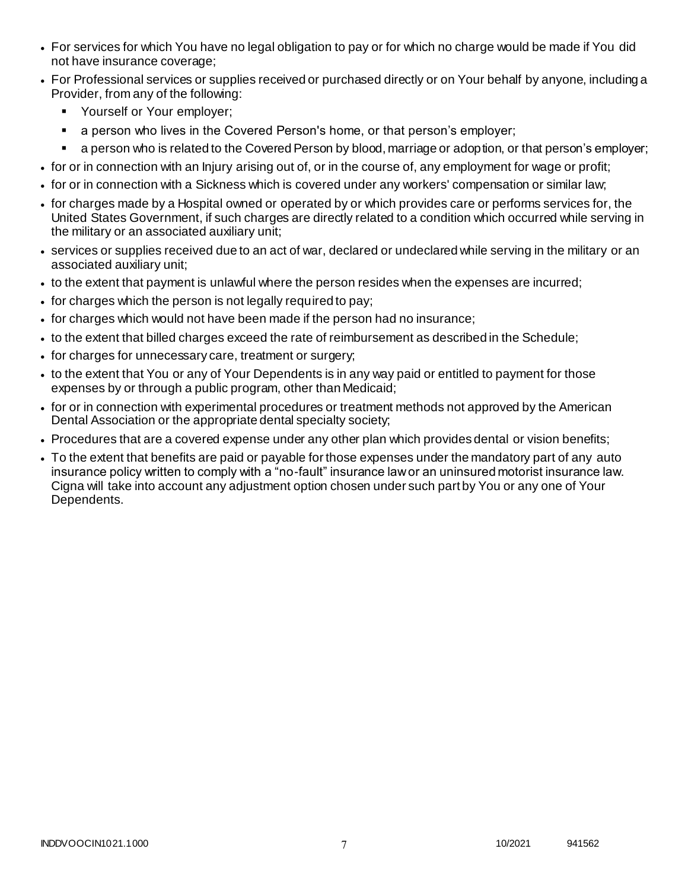- For services for which You have no legal obligation to pay or for which no charge would be made if You did not have insurance coverage;
- For Professional services or supplies received or purchased directly or on Your behalf by anyone, including a Provider, from any of the following:
	- **Yourself or Your employer;**
	- **a** person who lives in the Covered Person's home, or that person's employer;
	- a person who is related to the Covered Person by blood, marriage or adoption, or that person's employer;
- for or in connection with an Injury arising out of, or in the course of, any employment for wage or profit;
- for or in connection with a Sickness which is covered under any workers' compensation or similar law;
- for charges made by a Hospital owned or operated by or which provides care or performs services for, the United States Government, if such charges are directly related to a condition which occurred while serving in the military or an associated auxiliary unit;
- services or supplies received due to an act of war, declared or undeclared while serving in the military or an associated auxiliary unit;
- to the extent that payment is unlawful where the person resides when the expenses are incurred;
- for charges which the person is not legally required to pay;
- for charges which would not have been made if the person had no insurance;
- to the extent that billed charges exceed the rate of reimbursement as described in the Schedule;
- for charges for unnecessary care, treatment or surgery;
- to the extent that You or any of Your Dependents is in any way paid or entitled to payment for those expenses by or through a public program, other than Medicaid;
- for or in connection with experimental procedures or treatment methods not approved by the American Dental Association or the appropriate dental specialty society;
- Procedures that are a covered expense under any other plan which provides dental or vision benefits;
- To the extent that benefits are paid or payable for those expenses under the mandatory part of any auto insurance policy written to comply with a "no-fault" insurance law or an uninsured motorist insurance law. Cigna will take into account any adjustment option chosen under such part by You or any one of Your Dependents.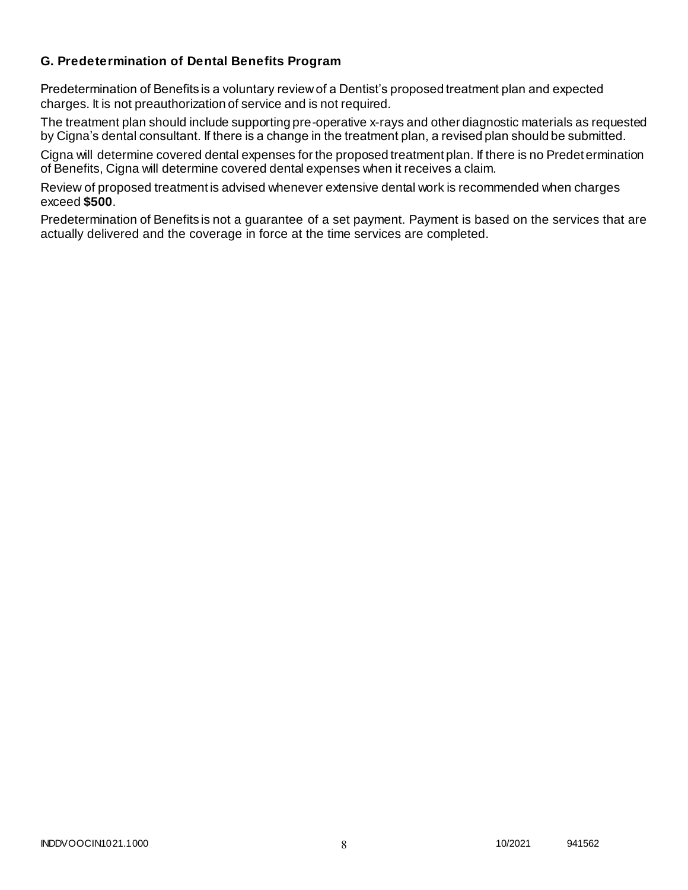## **G. Predetermination of Dental Benefits Program**

Predetermination of Benefits is a voluntary review of a Dentist's proposed treatment plan and expected charges. It is not preauthorization of service and is not required.

The treatment plan should include supporting pre-operative x-rays and other diagnostic materials as requested by Cigna's dental consultant. If there is a change in the treatment plan, a revised plan should be submitted.

Cigna will determine covered dental expenses for the proposed treatment plan. If there is no Predetermination of Benefits, Cigna will determine covered dental expenses when it receives a claim.

Review of proposed treatment is advised whenever extensive dental work is recommended when charges exceed **\$500**.

Predetermination of Benefits is not a guarantee of a set payment. Payment is based on the services that are actually delivered and the coverage in force at the time services are completed.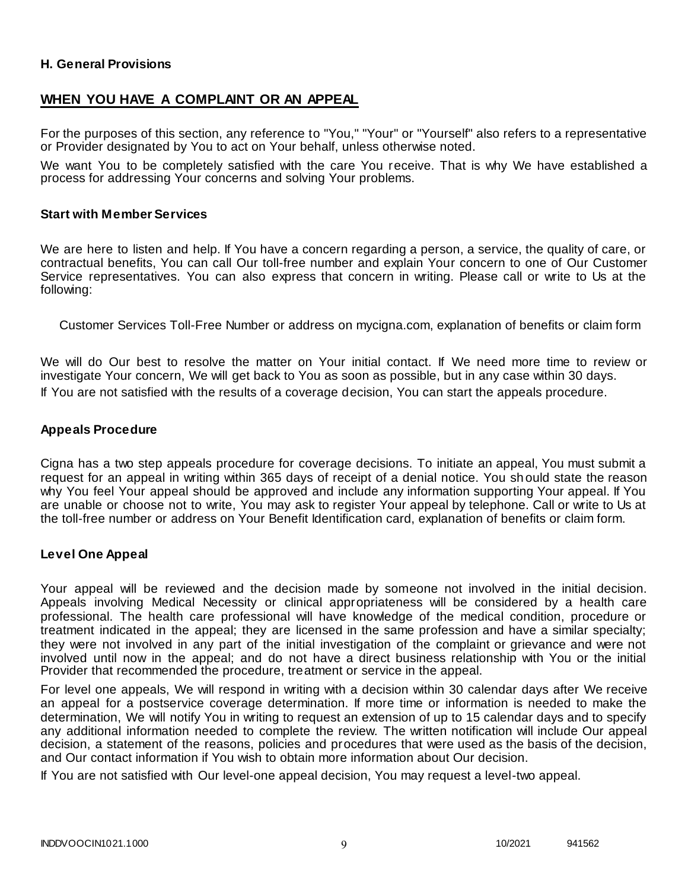### **H. General Provisions**

# **WHEN YOU HAVE A COMPLAINT OR AN APPEAL**

For the purposes of this section, any reference to "You," "Your" or "Yourself" also refers to a representative or Provider designated by You to act on Your behalf, unless otherwise noted.

We want You to be completely satisfied with the care You receive. That is why We have established a process for addressing Your concerns and solving Your problems.

#### **Start with Member Services**

We are here to listen and help. If You have a concern regarding a person, a service, the quality of care, or contractual benefits, You can call Our toll-free number and explain Your concern to one of Our Customer Service representatives. You can also express that concern in writing. Please call or write to Us at the following:

Customer Services Toll-Free Number or address on mycigna.com, explanation of benefits or claim form

We will do Our best to resolve the matter on Your initial contact. If We need more time to review or investigate Your concern, We will get back to You as soon as possible, but in any case within 30 days. If You are not satisfied with the results of a coverage decision, You can start the appeals procedure.

#### **Appeals Procedure**

Cigna has a two step appeals procedure for coverage decisions. To initiate an appeal, You must submit a request for an appeal in writing within 365 days of receipt of a denial notice. You sh ould state the reason why You feel Your appeal should be approved and include any information supporting Your appeal. If You are unable or choose not to write, You may ask to register Your appeal by telephone. Call or write to Us at the toll-free number or address on Your Benefit Identification card, explanation of benefits or claim form.

#### **Level One Appeal**

Your appeal will be reviewed and the decision made by someone not involved in the initial decision. Appeals involving Medical Necessity or clinical appropriateness will be considered by a health care professional. The health care professional will have knowledge of the medical condition, procedure or treatment indicated in the appeal; they are licensed in the same profession and have a similar specialty; they were not involved in any part of the initial investigation of the complaint or grievance and were not involved until now in the appeal; and do not have a direct business relationship with You or the initial Provider that recommended the procedure, treatment or service in the appeal.

For level one appeals, We will respond in writing with a decision within 30 calendar days after We receive an appeal for a postservice coverage determination. If more time or information is needed to make the determination, We will notify You in writing to request an extension of up to 15 calendar days and to specify any additional information needed to complete the review. The written notification will include Our appeal decision, a statement of the reasons, policies and procedures that were used as the basis of the decision, and Our contact information if You wish to obtain more information about Our decision.

If You are not satisfied with Our level-one appeal decision, You may request a level-two appeal.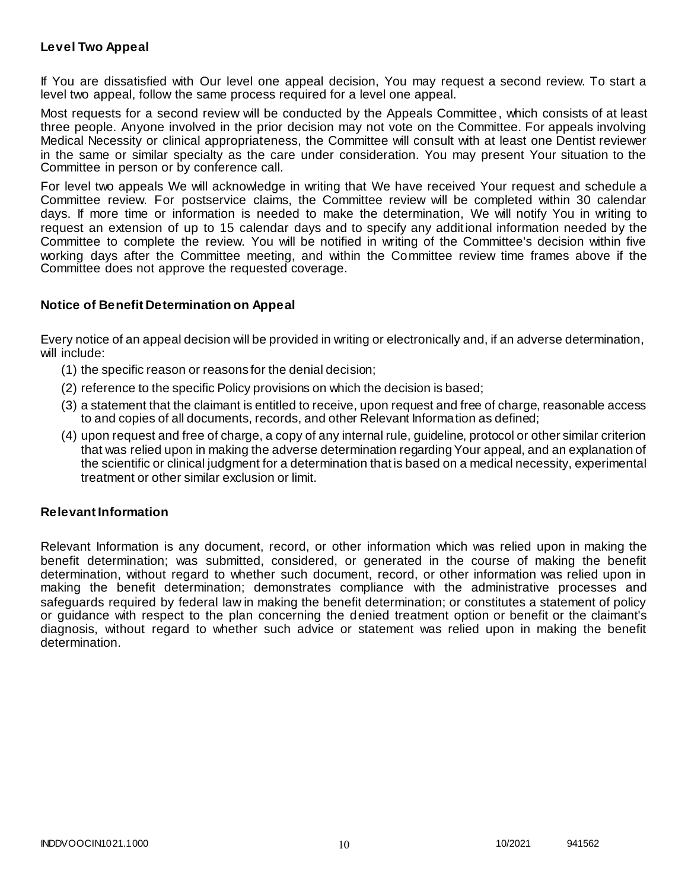### **Level Two Appeal**

If You are dissatisfied with Our level one appeal decision, You may request a second review. To start a level two appeal, follow the same process required for a level one appeal.

Most requests for a second review will be conducted by the Appeals Committee, which consists of at least three people. Anyone involved in the prior decision may not vote on the Committee. For appeals involving Medical Necessity or clinical appropriateness, the Committee will consult with at least one Dentist reviewer in the same or similar specialty as the care under consideration. You may present Your situation to the Committee in person or by conference call.

For level two appeals We will acknowledge in writing that We have received Your request and schedule a Committee review. For postservice claims, the Committee review will be completed within 30 calendar days. If more time or information is needed to make the determination, We will notify You in writing to request an extension of up to 15 calendar days and to specify any additional information needed by the Committee to complete the review. You will be notified in writing of the Committee's decision within five working days after the Committee meeting, and within the Committee review time frames above if the Committee does not approve the requested coverage.

### **Notice of Benefit Determination on Appeal**

Every notice of an appeal decision will be provided in writing or electronically and, if an adverse determination, will include:

- (1) the specific reason or reasons for the denial decision;
- (2) reference to the specific Policy provisions on which the decision is based;
- (3) a statement that the claimant is entitled to receive, upon request and free of charge, reasonable access to and copies of all documents, records, and other Relevant Information as defined;
- (4) upon request and free of charge, a copy of any internal rule, guideline, protocol or other similar criterion that was relied upon in making the adverse determination regarding Your appeal, and an explanation of the scientific or clinical judgment for a determination that is based on a medical necessity, experimental treatment or other similar exclusion or limit.

### **Relevant Information**

Relevant Information is any document, record, or other information which was relied upon in making the benefit determination; was submitted, considered, or generated in the course of making the benefit determination, without regard to whether such document, record, or other information was relied upon in making the benefit determination; demonstrates compliance with the administrative processes and safeguards required by federal law in making the benefit determination; or constitutes a statement of policy or guidance with respect to the plan concerning the denied treatment option or benefit or the claimant's diagnosis, without regard to whether such advice or statement was relied upon in making the benefit determination.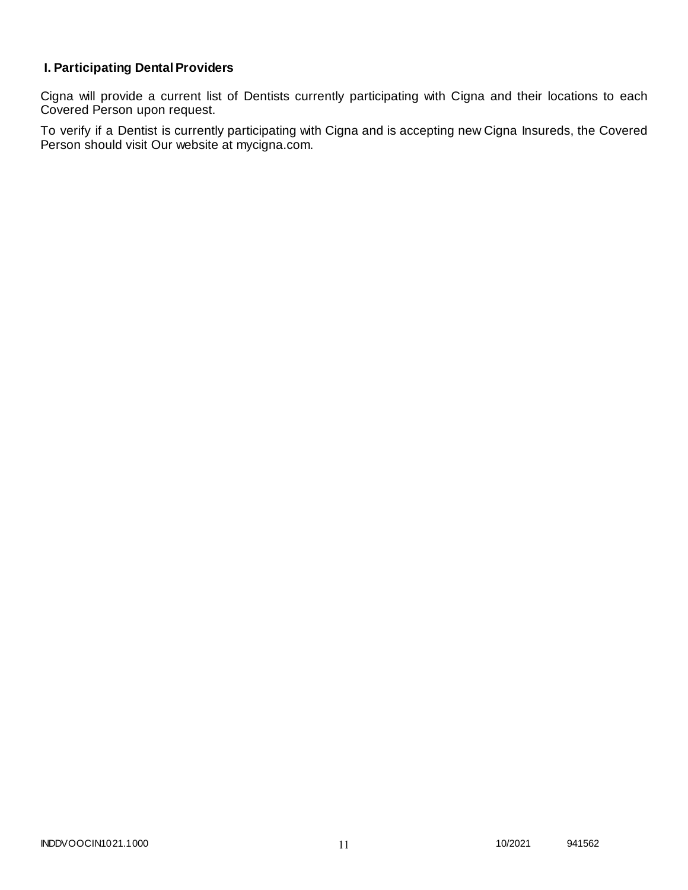# **I. Participating Dental Providers**

Cigna will provide a current list of Dentists currently participating with Cigna and their locations to each Covered Person upon request.

To verify if a Dentist is currently participating with Cigna and is accepting new Cigna Insureds, the Covered Person should visit Our website at mycigna.com.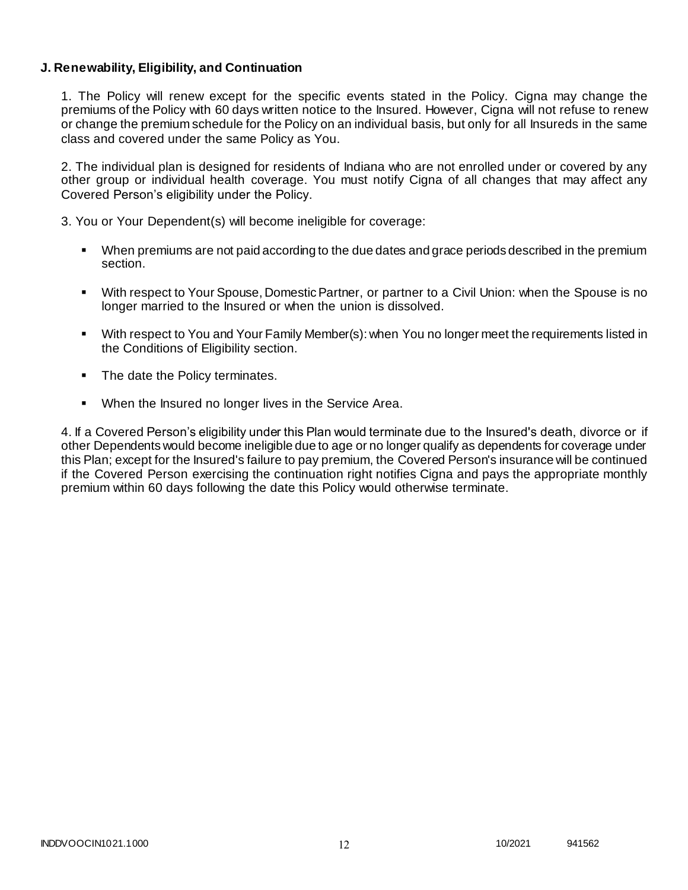### **J. Renewability, Eligibility, and Continuation**

1. The Policy will renew except for the specific events stated in the Policy. Cigna may change the premiums of the Policy with 60 days written notice to the Insured. However, Cigna will not refuse to renew or change the premium schedule for the Policy on an individual basis, but only for all Insureds in the same class and covered under the same Policy as You.

2. The individual plan is designed for residents of Indiana who are not enrolled under or covered by any other group or individual health coverage. You must notify Cigna of all changes that may affect any Covered Person's eligibility under the Policy.

3. You or Your Dependent(s) will become ineligible for coverage:

- When premiums are not paid according to the due dates and grace periods described in the premium section.
- With respect to Your Spouse, Domestic Partner, or partner to a Civil Union: when the Spouse is no longer married to the Insured or when the union is dissolved.
- With respect to You and Your Family Member(s): when You no longer meet the requirements listed in the Conditions of Eligibility section.
- The date the Policy terminates.
- When the Insured no longer lives in the Service Area.

4. If a Covered Person's eligibility under this Plan would terminate due to the Insured's death, divorce or if other Dependents would become ineligible due to age or no longer qualify as dependents for coverage under this Plan; except for the Insured's failure to pay premium, the Covered Person's insurance will be continued if the Covered Person exercising the continuation right notifies Cigna and pays the appropriate monthly premium within 60 days following the date this Policy would otherwise terminate.